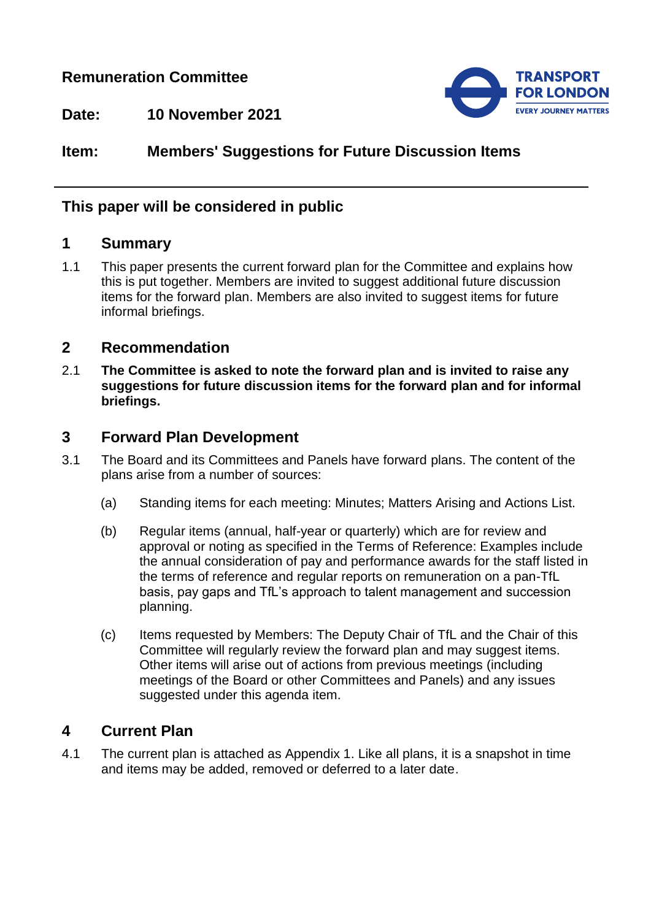## **Remuneration Committee**



**Date: 10 November 2021**

# **Item: Members' Suggestions for Future Discussion Items**

## **This paper will be considered in public**

#### **1 Summary**

1.1 This paper presents the current forward plan for the Committee and explains how this is put together. Members are invited to suggest additional future discussion items for the forward plan. Members are also invited to suggest items for future informal briefings.

#### **2 Recommendation**

2.1 **The Committee is asked to note the forward plan and is invited to raise any suggestions for future discussion items for the forward plan and for informal briefings.**

### **3 Forward Plan Development**

- 3.1 The Board and its Committees and Panels have forward plans. The content of the plans arise from a number of sources:
	- (a) Standing items for each meeting: Minutes; Matters Arising and Actions List.
	- (b) Regular items (annual, half-year or quarterly) which are for review and approval or noting as specified in the Terms of Reference: Examples include the annual consideration of pay and performance awards for the staff listed in the terms of reference and regular reports on remuneration on a pan-TfL basis, pay gaps and TfL's approach to talent management and succession planning.
	- (c) Items requested by Members: The Deputy Chair of TfL and the Chair of this Committee will regularly review the forward plan and may suggest items. Other items will arise out of actions from previous meetings (including meetings of the Board or other Committees and Panels) and any issues suggested under this agenda item.

## **4 Current Plan**

4.1 The current plan is attached as Appendix 1. Like all plans, it is a snapshot in time and items may be added, removed or deferred to a later date.